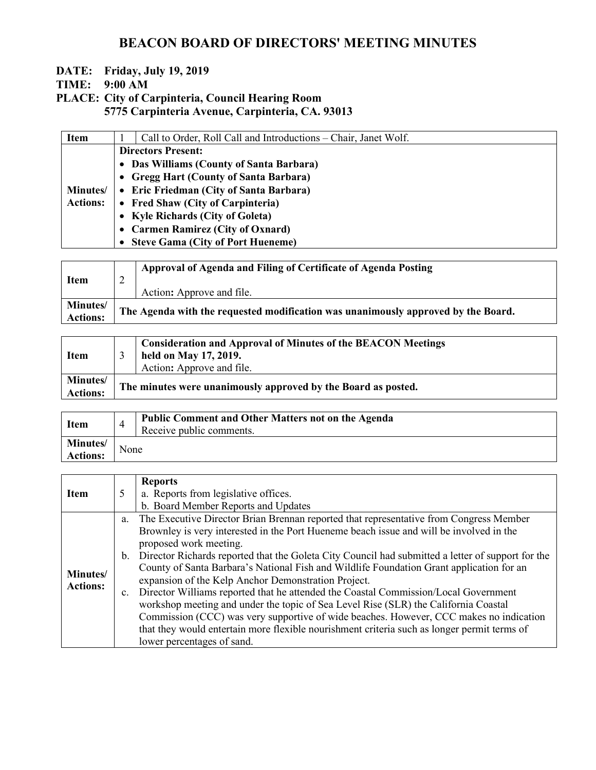#### **DATE: Friday, July 19, 2019**

**TIME: 9:00 AM**

**PLACE: City of Carpinteria, Council Hearing Room 5775 Carpinteria Avenue, Carpinteria, CA. 93013**

| <b>Item</b>      | Call to Order, Roll Call and Introductions – Chair, Janet Wolf. |
|------------------|-----------------------------------------------------------------|
|                  | <b>Directors Present:</b>                                       |
|                  | • Das Williams (County of Santa Barbara)                        |
|                  | • Gregg Hart (County of Santa Barbara)                          |
| <b>Minutes</b> / | • Eric Friedman (City of Santa Barbara)                         |
| <b>Actions:</b>  | • Fred Shaw (City of Carpinteria)                               |
|                  | • Kyle Richards (City of Goleta)                                |
|                  | • Carmen Ramirez (City of Oxnard)                               |
|                  | • Steve Gama (City of Port Hueneme)                             |

| <b>Item</b>                        | ∠ | Approval of Agenda and Filing of Certificate of Agenda Posting<br>Action: Approve and file. |
|------------------------------------|---|---------------------------------------------------------------------------------------------|
| <b>Minutes/</b><br><b>Actions:</b> |   | The Agenda with the requested modification was unanimously approved by the Board.           |

| <b>Item</b>                        | <b>Consideration and Approval of Minutes of the BEACON Meetings</b><br>held on May 17, 2019.<br>Action: Approve and file. |
|------------------------------------|---------------------------------------------------------------------------------------------------------------------------|
| <b>Minutes/</b><br><b>Actions:</b> | The minutes were unanimously approved by the Board as posted.                                                             |

| <b>Item</b>                         |      | Public Comment and Other Matters not on the Agenda<br>Receive public comments. |
|-------------------------------------|------|--------------------------------------------------------------------------------|
| <b>Minutes</b> /<br><b>Actions:</b> | None |                                                                                |

|                 |   | <b>Reports</b>                                                                                       |
|-----------------|---|------------------------------------------------------------------------------------------------------|
| <b>Item</b>     | 5 | a. Reports from legislative offices.                                                                 |
|                 |   | b. Board Member Reports and Updates                                                                  |
|                 |   | a. The Executive Director Brian Brennan reported that representative from Congress Member            |
|                 |   | Brownley is very interested in the Port Hueneme beach issue and will be involved in the              |
|                 |   | proposed work meeting.                                                                               |
|                 |   | b. Director Richards reported that the Goleta City Council had submitted a letter of support for the |
|                 |   | County of Santa Barbara's National Fish and Wildlife Foundation Grant application for an             |
| Minutes/        |   | expansion of the Kelp Anchor Demonstration Project.                                                  |
| <b>Actions:</b> |   | c. Director Williams reported that he attended the Coastal Commission/Local Government               |
|                 |   | workshop meeting and under the topic of Sea Level Rise (SLR) the California Coastal                  |
|                 |   | Commission (CCC) was very supportive of wide beaches. However, CCC makes no indication               |
|                 |   | that they would entertain more flexible nourishment criteria such as longer permit terms of          |
|                 |   | lower percentages of sand.                                                                           |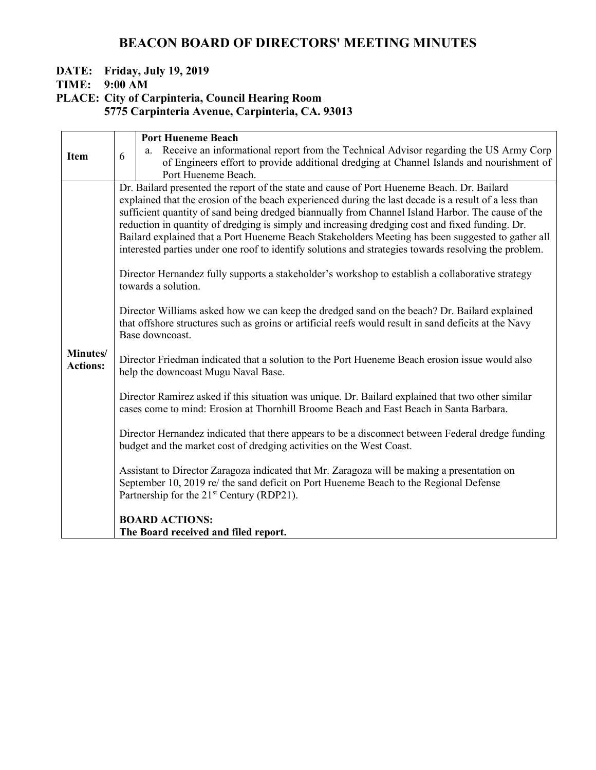#### **DATE: Friday, July 19, 2019**

**TIME: 9:00 AM**

**PLACE: City of Carpinteria, Council Hearing Room**

**5775 Carpinteria Avenue, Carpinteria, CA. 93013**

|                             |                                                                                                                                                                                                                          | <b>Port Hueneme Beach</b>                                                                                                                                                                                                                     |  |  |
|-----------------------------|--------------------------------------------------------------------------------------------------------------------------------------------------------------------------------------------------------------------------|-----------------------------------------------------------------------------------------------------------------------------------------------------------------------------------------------------------------------------------------------|--|--|
| <b>Item</b>                 | 6                                                                                                                                                                                                                        | Receive an informational report from the Technical Advisor regarding the US Army Corp<br>a.                                                                                                                                                   |  |  |
|                             |                                                                                                                                                                                                                          | of Engineers effort to provide additional dredging at Channel Islands and nourishment of                                                                                                                                                      |  |  |
|                             |                                                                                                                                                                                                                          | Port Hueneme Beach.                                                                                                                                                                                                                           |  |  |
|                             |                                                                                                                                                                                                                          | Dr. Bailard presented the report of the state and cause of Port Hueneme Beach. Dr. Bailard                                                                                                                                                    |  |  |
|                             |                                                                                                                                                                                                                          | explained that the erosion of the beach experienced during the last decade is a result of a less than<br>sufficient quantity of sand being dredged biannually from Channel Island Harbor. The cause of the                                    |  |  |
|                             | reduction in quantity of dredging is simply and increasing dredging cost and fixed funding. Dr.                                                                                                                          |                                                                                                                                                                                                                                               |  |  |
|                             | Bailard explained that a Port Hueneme Beach Stakeholders Meeting has been suggested to gather all                                                                                                                        |                                                                                                                                                                                                                                               |  |  |
|                             | interested parties under one roof to identify solutions and strategies towards resolving the problem.                                                                                                                    |                                                                                                                                                                                                                                               |  |  |
|                             |                                                                                                                                                                                                                          | Director Hernandez fully supports a stakeholder's workshop to establish a collaborative strategy<br>towards a solution.                                                                                                                       |  |  |
|                             | Director Williams asked how we can keep the dredged sand on the beach? Dr. Bailard explained<br>that offshore structures such as groins or artificial reefs would result in sand deficits at the Navy<br>Base downcoast. |                                                                                                                                                                                                                                               |  |  |
| Minutes/<br><b>Actions:</b> |                                                                                                                                                                                                                          | Director Friedman indicated that a solution to the Port Hueneme Beach erosion issue would also<br>help the downcoast Mugu Naval Base.                                                                                                         |  |  |
|                             |                                                                                                                                                                                                                          | Director Ramirez asked if this situation was unique. Dr. Bailard explained that two other similar<br>cases come to mind: Erosion at Thornhill Broome Beach and East Beach in Santa Barbara.                                                   |  |  |
|                             |                                                                                                                                                                                                                          | Director Hernandez indicated that there appears to be a disconnect between Federal dredge funding<br>budget and the market cost of dredging activities on the West Coast.                                                                     |  |  |
|                             |                                                                                                                                                                                                                          | Assistant to Director Zaragoza indicated that Mr. Zaragoza will be making a presentation on<br>September 10, 2019 re/ the sand deficit on Port Hueneme Beach to the Regional Defense<br>Partnership for the 21 <sup>st</sup> Century (RDP21). |  |  |
|                             |                                                                                                                                                                                                                          | <b>BOARD ACTIONS:</b>                                                                                                                                                                                                                         |  |  |
|                             |                                                                                                                                                                                                                          | The Board received and filed report.                                                                                                                                                                                                          |  |  |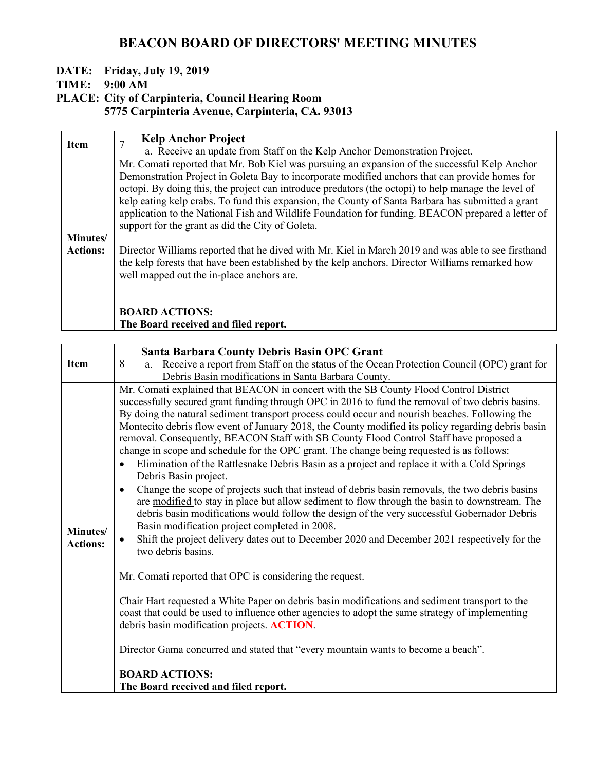#### **DATE: Friday, July 19, 2019**

**TIME: 9:00 AM**

## **PLACE: City of Carpinteria, Council Hearing Room**

**5775 Carpinteria Avenue, Carpinteria, CA. 93013**

| <b>Item</b>     | 7                                                                                                 | <b>Kelp Anchor Project</b>                                                                          |  |  |
|-----------------|---------------------------------------------------------------------------------------------------|-----------------------------------------------------------------------------------------------------|--|--|
|                 |                                                                                                   | a. Receive an update from Staff on the Kelp Anchor Demonstration Project.                           |  |  |
|                 |                                                                                                   | Mr. Comati reported that Mr. Bob Kiel was pursuing an expansion of the successful Kelp Anchor       |  |  |
|                 |                                                                                                   | Demonstration Project in Goleta Bay to incorporate modified anchors that can provide homes for      |  |  |
|                 |                                                                                                   | octopi. By doing this, the project can introduce predators (the octopi) to help manage the level of |  |  |
|                 | kelp eating kelp crabs. To fund this expansion, the County of Santa Barbara has submitted a grant |                                                                                                     |  |  |
|                 | application to the National Fish and Wildlife Foundation for funding. BEACON prepared a letter of |                                                                                                     |  |  |
|                 | support for the grant as did the City of Goleta.                                                  |                                                                                                     |  |  |
| Minutes/        |                                                                                                   |                                                                                                     |  |  |
| <b>Actions:</b> |                                                                                                   | Director Williams reported that he dived with Mr. Kiel in March 2019 and was able to see firsthand  |  |  |
|                 |                                                                                                   | the kelp forests that have been established by the kelp anchors. Director Williams remarked how     |  |  |
|                 | well mapped out the in-place anchors are.                                                         |                                                                                                     |  |  |
|                 |                                                                                                   |                                                                                                     |  |  |
|                 |                                                                                                   |                                                                                                     |  |  |
|                 |                                                                                                   | <b>BOARD ACTIONS:</b>                                                                               |  |  |
|                 |                                                                                                   | The Board received and filed report.                                                                |  |  |

|                 |                                                                                                 | <b>Santa Barbara County Debris Basin OPC Grant</b>                                                 |  |  |
|-----------------|-------------------------------------------------------------------------------------------------|----------------------------------------------------------------------------------------------------|--|--|
| <b>Item</b>     | 8                                                                                               | a. Receive a report from Staff on the status of the Ocean Protection Council (OPC) grant for       |  |  |
|                 |                                                                                                 | Debris Basin modifications in Santa Barbara County.                                                |  |  |
|                 |                                                                                                 |                                                                                                    |  |  |
|                 |                                                                                                 | Mr. Comati explained that BEACON in concert with the SB County Flood Control District              |  |  |
|                 |                                                                                                 | successfully secured grant funding through OPC in 2016 to fund the removal of two debris basins.   |  |  |
|                 |                                                                                                 | By doing the natural sediment transport process could occur and nourish beaches. Following the     |  |  |
|                 |                                                                                                 | Montecito debris flow event of January 2018, the County modified its policy regarding debris basin |  |  |
|                 |                                                                                                 | removal. Consequently, BEACON Staff with SB County Flood Control Staff have proposed a             |  |  |
|                 |                                                                                                 | change in scope and schedule for the OPC grant. The change being requested is as follows:          |  |  |
|                 |                                                                                                 | Elimination of the Rattlesnake Debris Basin as a project and replace it with a Cold Springs        |  |  |
|                 |                                                                                                 | Debris Basin project.                                                                              |  |  |
|                 |                                                                                                 | Change the scope of projects such that instead of debris basin removals, the two debris basins     |  |  |
|                 |                                                                                                 | are modified to stay in place but allow sediment to flow through the basin to downstream. The      |  |  |
|                 |                                                                                                 | debris basin modifications would follow the design of the very successful Gobernador Debris        |  |  |
| Minutes/        |                                                                                                 | Basin modification project completed in 2008.                                                      |  |  |
| <b>Actions:</b> |                                                                                                 | Shift the project delivery dates out to December 2020 and December 2021 respectively for the       |  |  |
|                 |                                                                                                 | two debris basins.                                                                                 |  |  |
|                 |                                                                                                 | Mr. Comati reported that OPC is considering the request.                                           |  |  |
|                 |                                                                                                 |                                                                                                    |  |  |
|                 | Chair Hart requested a White Paper on debris basin modifications and sediment transport to the  |                                                                                                    |  |  |
|                 | coast that could be used to influence other agencies to adopt the same strategy of implementing |                                                                                                    |  |  |
|                 |                                                                                                 | debris basin modification projects. ACTION.                                                        |  |  |
|                 | Director Gama concurred and stated that "every mountain wants to become a beach".               |                                                                                                    |  |  |
|                 |                                                                                                 |                                                                                                    |  |  |
|                 |                                                                                                 | <b>BOARD ACTIONS:</b>                                                                              |  |  |
|                 |                                                                                                 | The Board received and filed report.                                                               |  |  |